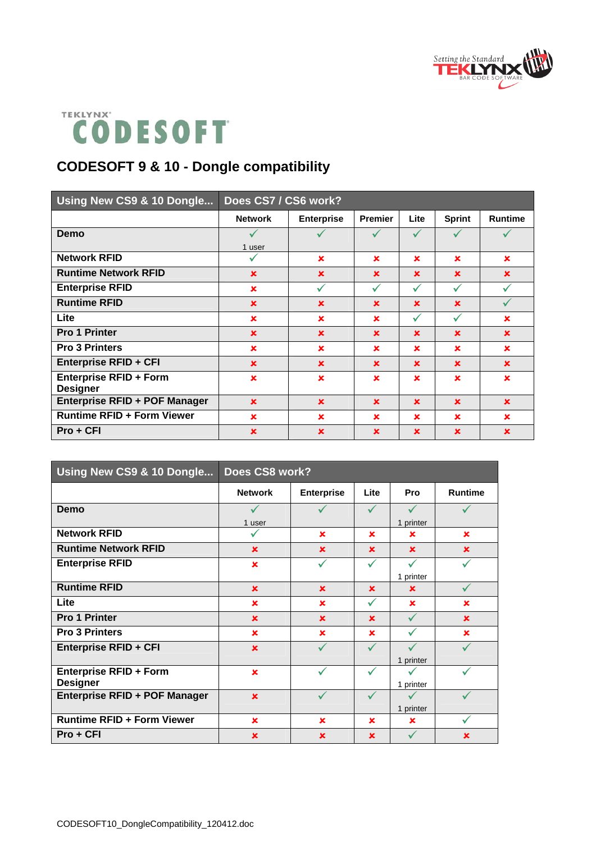



## **CODESOFT 9 & 10 - Dongle compatibility**

| Using New CS9 & 10 Dongle                        | Does CS7 / CS6 work? |                   |                |             |               |                |
|--------------------------------------------------|----------------------|-------------------|----------------|-------------|---------------|----------------|
|                                                  | <b>Network</b>       | <b>Enterprise</b> | <b>Premier</b> | Lite        | <b>Sprint</b> | <b>Runtime</b> |
| Demo                                             |                      |                   |                |             |               |                |
|                                                  | 1 user               |                   |                |             |               |                |
| <b>Network RFID</b>                              | ✓                    | ×                 | $\mathbf x$    | $\mathbf x$ | ×             | $\mathbf x$    |
| <b>Runtime Network RFID</b>                      | $\mathbf x$          | $\mathbf x$       | $\mathbf x$    | $\mathbf x$ | $\mathbf x$   | $\mathbf x$    |
| <b>Enterprise RFID</b>                           | $\mathbf x$          | $\checkmark$      | ✓              | ✓           | ✓             |                |
| <b>Runtime RFID</b>                              | $\mathbf x$          | $\mathbf x$       | $\mathbf x$    | $\mathbf x$ | $\mathbf x$   | $\checkmark$   |
| Lite                                             | $\mathbf x$          | $\mathbf x$       | $\mathbf x$    | ✓           | $\checkmark$  | $\mathbf x$    |
| <b>Pro 1 Printer</b>                             | $\mathbf x$          | $\mathbf x$       | $\mathbf x$    | $\mathbf x$ | $\mathbf x$   | $\mathbf x$    |
| <b>Pro 3 Printers</b>                            | $\mathbf x$          | ×                 | $\mathbf x$    | $\mathbf x$ | $\mathbf x$   | $\mathbf x$    |
| <b>Enterprise RFID + CFI</b>                     | $\mathbf x$          | $\mathbf x$       | $\mathbf x$    | $\mathbf x$ | $\mathbf x$   | $\mathbf x$    |
| <b>Enterprise RFID + Form</b><br><b>Designer</b> | ×                    | $\mathbf x$       | $\mathbf x$    | $\mathbf x$ | $\mathbf x$   | $\mathbf x$    |
| Enterprise RFID + POF Manager                    | $\mathbf x$          | $\mathbf x$       | $\mathbf x$    | $\mathbf x$ | $\mathbf x$   | $\mathbf x$    |
| <b>Runtime RFID + Form Viewer</b>                | $\mathbf x$          | ×                 | $\mathbf x$    | $\mathbf x$ | $\mathbf x$   | $\mathbf x$    |
| $Pro + CFI$                                      | $\mathbf x$          | $\mathbf x$       | $\mathbf x$    | $\mathbf x$ | $\mathbf x$   | $\mathbf x$    |

| Using New CS9 & 10 Dongle         | Does CS8 work? |                   |              |              |                |  |  |
|-----------------------------------|----------------|-------------------|--------------|--------------|----------------|--|--|
|                                   | <b>Network</b> | <b>Enterprise</b> | Lite         | Pro          | <b>Runtime</b> |  |  |
| Demo                              | ✓              |                   | ✓            | $\checkmark$ |                |  |  |
|                                   | 1 user         |                   |              | 1 printer    |                |  |  |
| <b>Network RFID</b>               |                | $\mathbf x$       | $\mathbf x$  | ×            | $\mathbf x$    |  |  |
| <b>Runtime Network RFID</b>       | $\mathbf x$    | $\mathbf x$       | $\mathbf x$  | $\mathbf x$  | $\mathbf x$    |  |  |
| <b>Enterprise RFID</b>            | ×              | $\checkmark$      | ✓            | $\checkmark$ |                |  |  |
|                                   |                |                   |              | 1 printer    |                |  |  |
| <b>Runtime RFID</b>               | $\mathbf x$    | $\mathbf x$       | $\mathbf x$  | $\mathbf x$  |                |  |  |
| Lite                              | ×              | $\mathbf x$       | ✓            | $\mathbf x$  | ×              |  |  |
| <b>Pro 1 Printer</b>              | $\mathbf x$    | $\mathbf x$       | $\mathbf x$  | ✓            | $\mathbf x$    |  |  |
| <b>Pro 3 Printers</b>             | $\mathbf x$    | $\mathbf x$       | $\mathbf x$  |              | $\mathbf x$    |  |  |
| <b>Enterprise RFID + CFI</b>      | $\mathbf x$    |                   | $\checkmark$ | $\checkmark$ |                |  |  |
|                                   |                |                   |              | 1 printer    |                |  |  |
| <b>Enterprise RFID + Form</b>     | $\mathbf x$    |                   | $\checkmark$ |              |                |  |  |
| <b>Designer</b>                   |                |                   |              | 1 printer    |                |  |  |
| Enterprise RFID + POF Manager     | $\mathbf x$    |                   | ✓            | ✓            |                |  |  |
|                                   |                |                   |              | 1 printer    |                |  |  |
| <b>Runtime RFID + Form Viewer</b> | $\mathbf x$    | $\mathbf x$       | ×            | ×            | ✓              |  |  |
| $Pro + CFI$                       | $\mathbf x$    | $\mathbf x$       | $\mathbf x$  | $\checkmark$ | $\mathbf x$    |  |  |